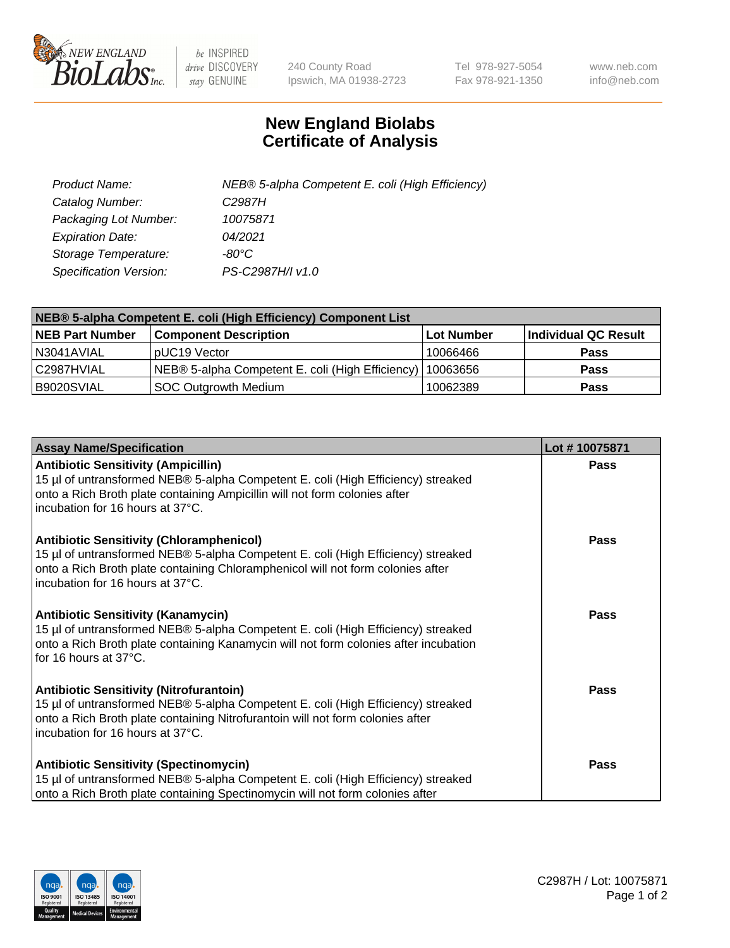

 $be$  INSPIRED drive DISCOVERY stay GENUINE

240 County Road Ipswich, MA 01938-2723 Tel 978-927-5054 Fax 978-921-1350 www.neb.com info@neb.com

## **New England Biolabs Certificate of Analysis**

| Product Name:           | NEB® 5-alpha Competent E. coli (High Efficiency) |
|-------------------------|--------------------------------------------------|
| Catalog Number:         | C <sub>2987</sub> H                              |
| Packaging Lot Number:   | 10075871                                         |
| <b>Expiration Date:</b> | 04/2021                                          |
| Storage Temperature:    | -80°C                                            |
| Specification Version:  | PS-C2987H/I v1.0                                 |

| NEB® 5-alpha Competent E. coli (High Efficiency) Component List |                                                             |                   |                      |  |
|-----------------------------------------------------------------|-------------------------------------------------------------|-------------------|----------------------|--|
| <b>NEB Part Number</b>                                          | <b>Component Description</b>                                | <b>Lot Number</b> | Individual QC Result |  |
| N3041AVIAL                                                      | pUC19 Vector                                                | 10066466          | <b>Pass</b>          |  |
| C2987HVIAL                                                      | NEB® 5-alpha Competent E. coli (High Efficiency)   10063656 |                   | <b>Pass</b>          |  |
| B9020SVIAL                                                      | SOC Outgrowth Medium                                        | 10062389          | <b>Pass</b>          |  |

| <b>Assay Name/Specification</b>                                                                                                                                                                                                                            | Lot #10075871 |
|------------------------------------------------------------------------------------------------------------------------------------------------------------------------------------------------------------------------------------------------------------|---------------|
| <b>Antibiotic Sensitivity (Ampicillin)</b><br>15 µl of untransformed NEB® 5-alpha Competent E. coli (High Efficiency) streaked<br>onto a Rich Broth plate containing Ampicillin will not form colonies after<br>incubation for 16 hours at 37°C.           | <b>Pass</b>   |
| <b>Antibiotic Sensitivity (Chloramphenicol)</b><br>15 µl of untransformed NEB® 5-alpha Competent E. coli (High Efficiency) streaked<br>onto a Rich Broth plate containing Chloramphenicol will not form colonies after<br>incubation for 16 hours at 37°C. | Pass          |
| Antibiotic Sensitivity (Kanamycin)<br>15 µl of untransformed NEB® 5-alpha Competent E. coli (High Efficiency) streaked<br>onto a Rich Broth plate containing Kanamycin will not form colonies after incubation<br>for 16 hours at 37°C.                    | Pass          |
| <b>Antibiotic Sensitivity (Nitrofurantoin)</b><br>15 µl of untransformed NEB® 5-alpha Competent E. coli (High Efficiency) streaked<br>onto a Rich Broth plate containing Nitrofurantoin will not form colonies after<br>incubation for 16 hours at 37°C.   | <b>Pass</b>   |
| <b>Antibiotic Sensitivity (Spectinomycin)</b><br>15 µl of untransformed NEB® 5-alpha Competent E. coli (High Efficiency) streaked<br>onto a Rich Broth plate containing Spectinomycin will not form colonies after                                         | Pass          |